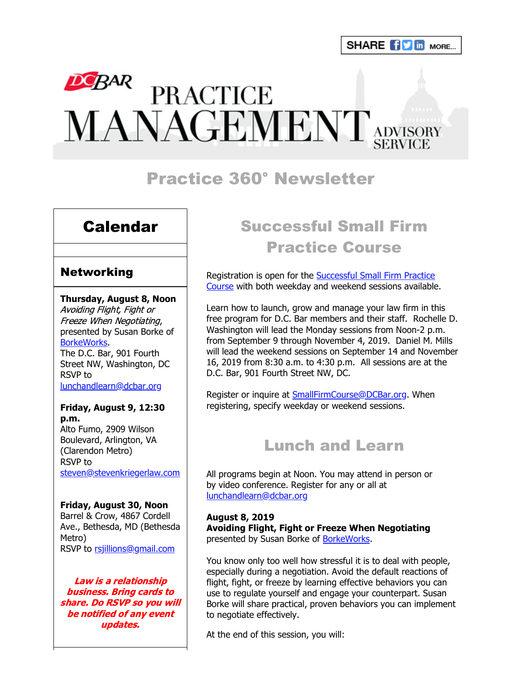# DEBAR PRACTICE<br>MANAGEMENT ADVISORY

# Practice 360° Newsletter

# Calendar

## **Networking**

#### **Thursday, August 8, Noon**

Avoiding Flight, Fight or Freeze When Negotiating, presented by Susan Borke of [BorkeWorks.](https://www.borkeworks.com/) The D.C. Bar, 901 Fourth Street NW, Washington, DC RSVP to [lunchandlearn@dcbar.org](mailto:lunchandlearn@dcbar.org?subject=RSVP%20to%20Lunch%20and%20Learn%20on%20August%208th)

## **Friday, August 9, 12:30 p.m.** Alto Fumo, 2909 Wilson Boulevard, Arlington, VA (Clarendon Metro) RSVP to

[steven@stevenkriegerlaw.com](mailto:steven@stevenkriegerlaw.com?subject=RSVP%20to%20networking%20event%20at%20Alto%20Fumo%20on%20August%209th)

#### **Friday, August 30, Noon**

Barrel & Crow, 4867 Cordell Ave., Bethesda, MD (Bethesda Metro) RSVP to [rsjillions@gmail.com](mailto:rsjillions@gmail.com?subject=RSVP%20to%20networking%20event%20at%20Barrel%20%26%20Crow%20on%20August%2030th)

Law is a relationship business. Bring cards to share. Do RSVP so you will be notified of any event updates.

# Successful Small Firm Practice Course

Registration is open for the **Successful Small Firm Practice** Course with both weekday and weekend sessions available.

Learn how to launch, grow and manage your law firm in this free program for D.C. Bar members and their staff. Rochelle D. Washington will lead the Monday sessions from Noon-2 p.m. from September 9 through November 4, 2019. Daniel M. Mills will lead the weekend sessions on September 14 and November 16, 2019 from 8:30 a.m. to 4:30 p.m. All sessions are at the D.C. Bar, 901 Fourth Street NW, DC.

Register or inquire at [SmallFirmCourse@DCBar.org.](mailto:SmallFirmCourse@DCBar.org) When registering, specify weekday or weekend sessions.

# Lunch and Learn

All programs begin at Noon. You may attend in person or by video conference. Register for any or all at [lunchandlearn@dcbar.org](mailto:lunchandlearn@dcbar.org?subject=Lunch%20and%20Learn)

**August 8, 2019 Avoiding Flight, Fight or Freeze When Negotiating** presented by Susan Borke of [BorkeWorks.](https://www.borkeworks.com/)

You know only too well how stressful it is to deal with people, especially during a negotiation. Avoid the default reactions of flight, fight, or freeze by learning effective behaviors you can use to regulate yourself and engage your counterpart. Susan Borke will share practical, proven behaviors you can implement to negotiate effectively.

At the end of this session, you will: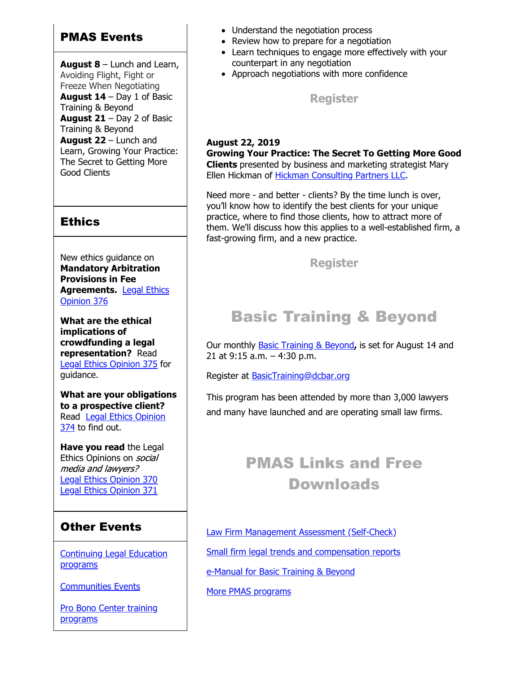## PMAS Events

**August 8** – Lunch and Learn, Avoiding Flight, Fight or Freeze When Negotiating **August 14** – Day 1 of Basic Training & Beyond **August 21** – Day 2 of Basic Training & Beyond **August 22** – Lunch and Learn, Growing Your Practice: The Secret to Getting More Good Clients

## **Ethics**

New ethics guidance on **Mandatory Arbitration Provisions in Fee [Agreements.](https://www.dcbar.org/bar-resources/legal-ethics/opinions/Ethics-Opinion-376.cfm?utm_source=Real%20Magnet&utm_medium=INSERT_CHANNEL&utm_campaign=INSERT_LINK_ID)** Legal Ethics Opinion 376

**What are the ethical implications of crowdfunding a legal representation?** Read [Legal Ethics Opinion 375](http://www.dcbar.org/bar-resources/legal-ethics/opinions/Ethics-Opinion-375.cfm?utm_source=Real%20Magnet&utm_medium=INSERT_CHANNEL&utm_campaign=INSERT_LINK_ID) for guidance.

**What are your obligations to a prospective client?** [Read Legal Ethics Opinion](http://www.dcbar.org/bar-resources/legal-ethics/opinions/Ethics-Opinion-374.cfm?utm_source=Real%20Magnet&utm_medium=INSERT_CHANNEL&utm_campaign=INSERT_LINK_ID) 374 to find out.

**Have you read** the Legal Ethics Opinions on *social* media and lawyers? [Legal Ethics Opinion 370](http://www.dcbar.org/bar-resources/legal-ethics/opinions/Ethics-Opinion-370.cfm?utm_source=Real%20Magnet&utm_medium=INSERT_CHANNEL&utm_campaign=INSERT_LINK_ID) [Legal Ethics Opinion 371](http://www.dcbar.org/bar-resources/legal-ethics/opinions/Ethics-Opinion-371.cfm?utm_source=Real%20Magnet&utm_medium=INSERT_CHANNEL&utm_campaign=INSERT_LINK_ID)

# Other Events

[Continuing Legal Education](https://join.dcbar.org/eweb/DynamicPage.aspx?Site=DCBar&WebKey=cbe606bc-88d4-4d37-872c-f48d412a59e5&evt_etc_key=7aaf572d-f662-422f-9fe7-0ae3f4b705be&utm_source=Real%20Magnet&utm_medium=INSERT_CHANNEL&utm_campaign=INSERT_LINK_ID) programs

[Communities Events](https://join.dcbar.org/eweb/DynamicPage.aspx?site=dcbar&webcode=EventList&utm_source=Real%20Magnet&utm_medium=INSERT_CHANNEL&utm_campaign=INSERT_LINK_ID)

[Pro Bono Center training](http://www.dcbar.org/pro-bono/resources-and-training/pro-bono-training.cfm?utm_source=Real%20Magnet&utm_medium=INSERT_CHANNEL&utm_campaign=INSERT_LINK_ID) programs

- Understand the negotiation process
- Review how to prepare for a negotiation
- Learn techniques to engage more effectively with your counterpart in any negotiation
- Approach negotiations with more confidence

**[Register](https://join.dcbar.org/eWeb/DynamicPage.aspx?site=dcbar&webcode=EventInfo&Reg_evt_key=13a80e59-52d1-4c2a-9131-415a5f14dc6d&RegPath=EventRegFees&FreeEvent=&Event=Lunch%20and%20Learn:%20Avoiding%20Flight,%20Fight%20or%20Freeze%20When%20Negotiating&FundraisingEvent=&evt_guest_limit=9999&utm_source=Real%20Magnet&utm_medium=INSERT_CHANNEL&utm_campaign=INSERT_LINK_ID)**

## **August 22, 2019**

**Growing Your Practice: The Secret To Getting More Good Clients** presented by business and marketing strategist Mary Ellen Hickman of [Hickman Consulting Partners LLC.](http://www.hickmanconsultingpartners.com/)

Need more - and better - clients? By the time lunch is over, you'll know how to identify the best clients for your unique practice, where to find those clients, how to attract more of them. We'll discuss how this applies to a well-established firm, a fast-growing firm, and a new practice.

**[Register](https://join.dcbar.org/eWeb/DynamicPage.aspx?site=dcbar&webcode=EventInfo&Reg_evt_key=d30be766-2a15-4525-8b72-44127e9cebba&RegPath=EventRegFees&FreeEvent=&Event=Lunch%20and%20Learn:%20Growing%20Your%20Practice:%20The%20Secret%20To%20Getting%20More%20Good%20Clients&FundraisingEvent=&evt_guest_limit=9999&utm_source=Real%20Magnet&utm_medium=INSERT_CHANNEL&utm_campaign=INSERT_LINK_ID)**

# Basic Training & Beyond

Our monthly [Basic Training & Beyond](http://www.dcbar.org/bar-resources/practice-management-advisory-service/basic-training.cfm?utm_source=Real%20Magnet&utm_medium=INSERT_CHANNEL&utm_campaign=INSERT_LINK_ID)**,** is set for August 14 and 21 at 9:15 a.m. – 4:30 p.m.

Register at BasicTraining@dcbar.org

This program has been attended by more than 3,000 lawyers and many have launched and are operating small law firms.

# PMAS Links and Free Downloads

[Law Firm Management Assessment \(Self-Check\)](https://www.dcbar.org/bar-resources/practice-management-advisory-service/selfcheck.cfm?utm_source=Real%20Magnet&utm_medium=INSERT_CHANNEL&utm_campaign=INSERT_LINK_ID) [Small firm legal trends and compensation reports](http://www.dcbar.org/bar-resources/practice-management-advisory-service/basic-training-supplement.cfm?utm_source=Real%20Magnet&utm_medium=INSERT_CHANNEL&utm_campaign=INSERT_LINK_ID) [e-Manual for Basic Training & Beyond](http://www.dcbar.org/bar-resources/practice-management-advisory-service/upload/eManual-050316.pdf?utm_source=Real%20Magnet&utm_medium=INSERT_CHANNEL&utm_campaign=INSERT_LINK_ID)

[More PMAS programs](http://www.dcbar.org/bar-resources/practice-management-advisory-service/?utm_source=Real%20Magnet&utm_medium=INSERT_CHANNEL&utm_campaign=INSERT_LINK_ID)